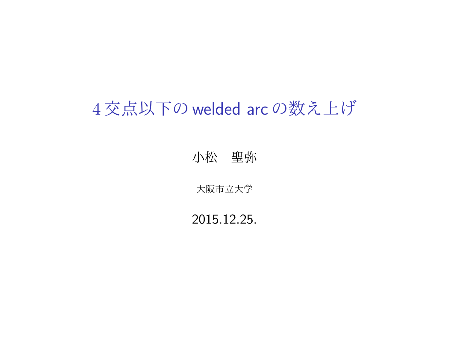## 4 交点以下の welded arc の数え上げ

小松 聖弥

大阪市立大学

2015.12.25.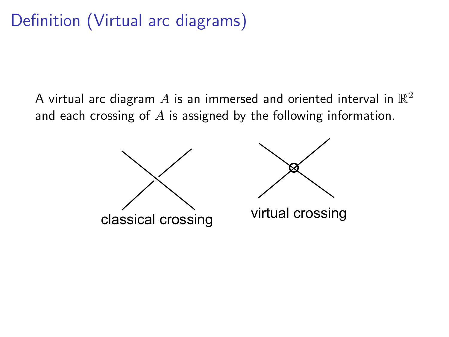## Definition (Virtual arc diagrams)

A virtual arc diagram  $A$  is an immersed and oriented interval in  $\mathbb{R}^2$ and each crossing of *A* is assigned by the following information.



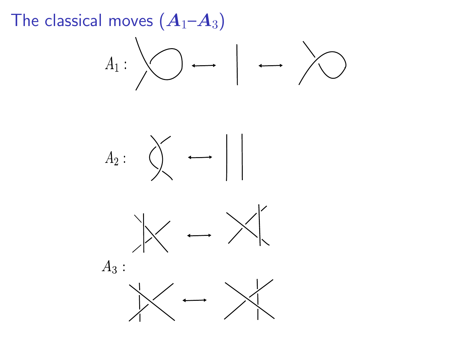The classical moves  $(A_1 - A_3)$ 







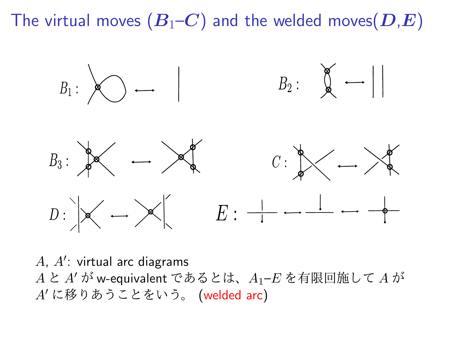The virtual moves  $(B_1-C)$  and the welded moves  $(D,E)$ 



*A*, *A′* : virtual arc diagrams *A* と *A′* が w-equivalent であるとは、*A*1–*E* を有限回施して *A* が *A′* に移りあうことをいう。 (welded arc)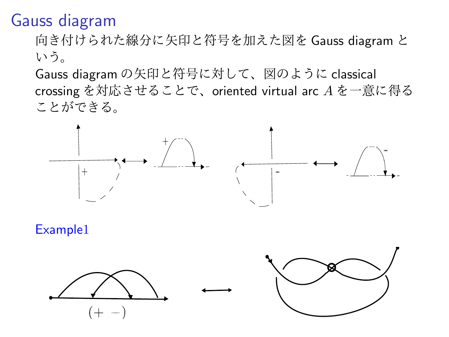## Gauss diagram

向き付けられた線分に矢印と符号を加えた図を Gauss diagram と いう。

Gauss diagram の矢印と符号に対して、図のように classical crossing を対応させることで、oriented virtual arc *A* を一意に得る ことができる。



Example1

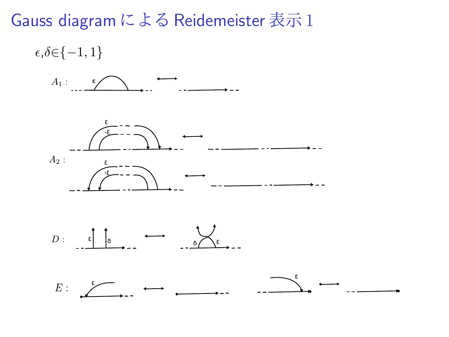## Gauss diagram による Reidemeister 表示 1

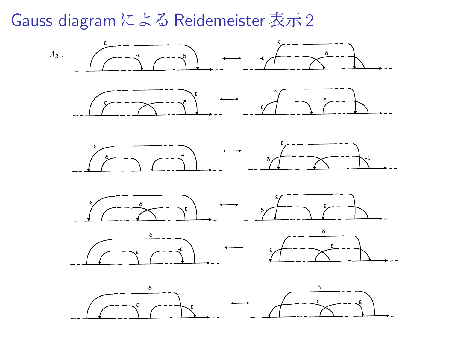Gauss diagram による Reidemeister 表示 2

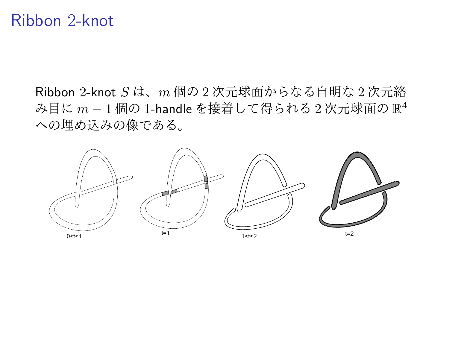### Ribbon 2-knot

Ribbon 2-knot *S* は、*m* 個の 2 次元球面からなる自明な 2 次元絡 み目に *m −* 1 個の 1-handle を接着して得られる 2 次元球面の R 4 への埋め込みの像である。

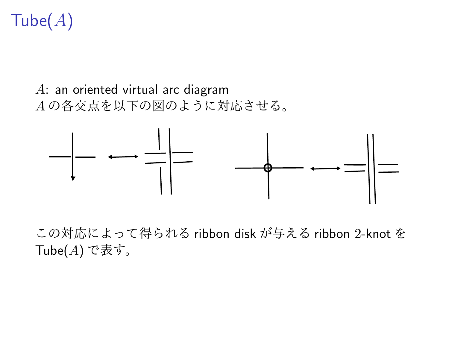# Tube(*A*)

### *A*: an oriented virtual arc diagram *A* の各交点を以下の図のように対応させる。



この対応によって得られる ribbon disk が与える ribbon 2-knot を Tube(*A*) で表す。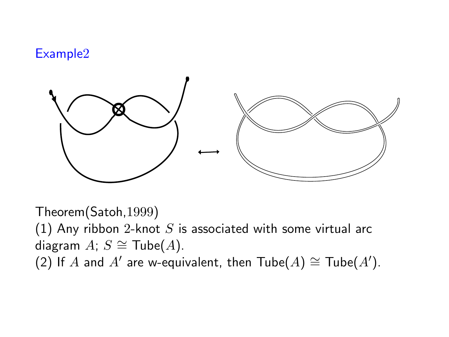#### Example2



Theorem(Satoh,1999) (1) Any ribbon 2-knot *S* is associated with some virtual arc diagram  $A$ ;  $S \cong$  Tube( $A$ ).

(2) If *A* and *A<sup>'</sup>* are w-equivalent, then  $\text{Table}(A) \cong \text{Table}(A')$ .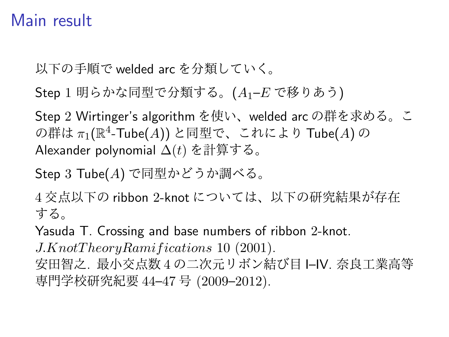## Main result

以下の手順で welded arc を分類していく。

Step 1 明らかな同型で分類する。(*A*1–*E* で移りあう)

Step 2 Wirtinger's algorithm を使い、welded arc の群を求める。こ の群は *π*1(R 4 -Tube(*A*)) と同型で、これにより Tube(*A*) の Alexander polynomial ∆(*t*) を計算する。

Step 3 Tube(*A*) で同型かどうか調べる。

4 交点以下の ribbon 2-knot については、以下の研究結果が存在 する。

Yasuda T. Crossing and base numbers of ribbon 2-knot.

*J.KnotT heoryRamif ications* 10 (2001).

安田智之. 最小交点数 4 の二次元リボン結び目 I–IV. 奈良工業高等 専門学校研究紀要 44–47 号 (2009–2012).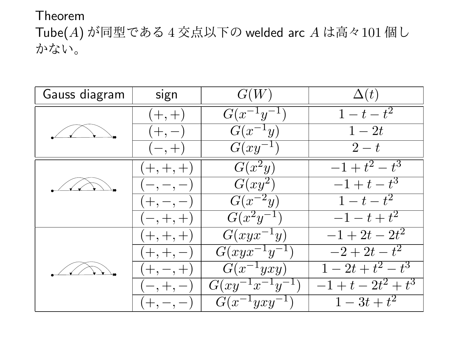#### Theorem

Tube(*A*) が同型である 4 交点以下の welded arc *A* は高々101 個し かない。

| Gauss diagram | sign        | G(W)                     | $\Delta(t)$           |
|---------------|-------------|--------------------------|-----------------------|
|               | $(+, +)$    | $G(x^{-1}y^{-1})$        | $1-t-t^2$             |
|               | $(+,-)$     | $G(x^{-1}y)$             | $1-2t$                |
|               | $(-, +)$    | $G(xy^{-1})$             | $2-t$                 |
|               | $(+,+,+)$   | $G(x^2y)$                | $-1+t^2-t^3$          |
|               | $(-,-,-)$   | $G(xy^2)$                | $-1+t-t^3$            |
|               | $(+,-,-)$   | $G(x^{-2}y)$             | $1-t-t^2$             |
|               | $(-,+,+)$   | $G(x^2y^{-1})$           | $-1-t+t^2$            |
|               | $(+,+,+)$   | $G(xyx^{-1}y)$           | $-1 + 2t - 2t^2$      |
|               | $(+, +, -)$ | $G(xyx^{-1}y^{-1})$      | $-2 + 2t - t^2$       |
|               | $(+,-,+)$   | $G(x^{-1}yxy)$           | $1-2t+t^2-t^3$        |
|               | $(-, +, -)$ | $G(xy^{-1}x^{-1}y^{-1})$ | $-1+t-2t^2+t^3$       |
|               | $(+, -, -)$ | $G(x^{-1}yxy^{-1})$      | $\overline{1-3t+t^2}$ |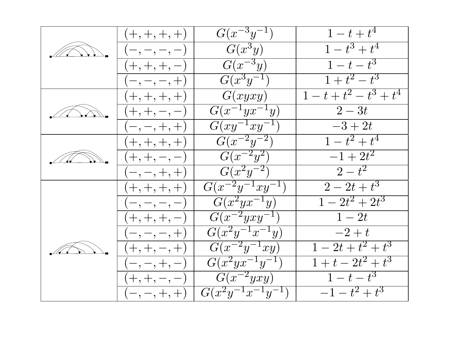| $(+,+,+,+)$    | $G(x^{-3}y^{-1})$              | $1 - t + t^4$             |
|----------------|--------------------------------|---------------------------|
| $(-,-,-,-)$    | $G(x^3y)$                      | $1-t^3+t^4$               |
| $(+,+,+,-)$    | $G(x^{-3}y)$                   | $\overline{1-t-t^3}$      |
| $(-,-,-,+)$    | $\overline{G(x^3y^{-1})}$      | $\sqrt{1+t^2-t^3}$        |
| $(+,+,+,+)$    | G(xyxy)                        | $1-t+t^2-t^3+t^4$         |
| $(+, +, -, -)$ | $G(x^{-1}yx^{-1}y)$            | $\overline{2-3t}$         |
| $(-,-,+,+)$    | $G(xy^{-1}xy^{-1})$            | $-3+2t$                   |
| $(+,+,+,+)$    | $\overline{G(x^{-2}y^{-2})}$   | $1-t^2+t^4$               |
| $(+, +, -, -)$ | $G(x^{-2}y^2)$                 | $-1+2t^2$                 |
| $(-,-,+,+)$    | $G(x^2y^{-2})$                 | $2-t^2$                   |
| $(+,+,+,+)$    | $G(x^{-2}y^{-1}xy^{-1})$       | $\sqrt{2-2t+t^3}$         |
| $(-,-,-,-)$    | $G(x^2yx^{-1}y)$               | $1 - 2t^2 + 2t^3$         |
| $(+,+,+,-)$    | $\overline{G(x^{-2}yxy^{-1})}$ | $1-2t$                    |
| $(-,-,-,+)$    | $G(x^2y^{-1}x^{-1}y)$          | $-2+t$                    |
| $(+, +, -, +)$ | $G(x^{-2}y^{-1}xy)$            | $1-2t+t^2+t^3$            |
| $(-,-,+,-)$    | $G(x^2yx^{-1}y^{-1})$          | $\overline{1+t-2t^2+t^3}$ |
| $(+, +, -, -)$ | $G(x^{-2}yxy)$                 | $1-t-t^3$                 |
| $(-,-,+,+)$    | $G(x^2y^{-1}x^{-1}y^{-1})$     | $-1-t^2+t^3$              |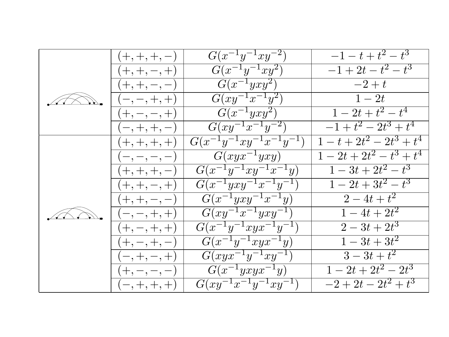|  | $(+,+,+,-)$    | $G(x^{-1}y^{-1}xy^{-2})$              | $-1-t+t^2-t^3$                 |
|--|----------------|---------------------------------------|--------------------------------|
|  | $(+, +, -, +)$ | $G(x^{-1}y^{-1}xy^2)$                 | $-1+2t-t^2-t^3$                |
|  | $(+, +, -, -)$ | $G(x^{-1}yxy^2)$                      | $-2+t$                         |
|  | $(-, -, +, +)$ | $G(xy^{-1}x^{-1}y^2)$                 | $1-2t$                         |
|  | $(+, -, -, +)$ | $G(x^{-1}yxy^2)$                      | $\overline{1-2t+t^2-t^4}$      |
|  | $(-,+,+,-)$    | $G(xy^{-1}x^{-1}y^{-2})$              | $\sqrt{1+t^2-2t^3+t^4}$        |
|  | $(+,+,+,+)$    | $G(x^{-1}y^{-1}xy^{-1}x^{-1}y^{-1})$  | $1-t+2t^2-2t^3+t^4$            |
|  | $(-,-,-,-)$    | $G(xyx^{-1}yxy)$                      | $\overline{1-2t+2t^2-t^3+t^4}$ |
|  | $(+,+,+,-)$    | $G(x^{-1}y^{-1}xy^{-1}x^{-1}y)$       | $\overline{1-3t+2t^2-t^3}$     |
|  | $(+, +, -, +)$ | $G(x^{-1}yxy^{-1}x^{-1}y^{-1})$       | $1-2t+3t^2-t^3$                |
|  | $(+, +, -, -)$ | $G(x^{-1}\overline{yxy^{-1}x^{-1}y})$ | $\frac{2-4t+t^2}{t}$           |
|  | $(-,-,+,+)$    | $G(xy^{-1}x^{-1}yxy^{-1})$            | $\frac{1-4t+2t^2}{ }$          |
|  | $(+, -, +, +)$ | $G(x^{-1}y^{-1}xyx^{-1}y^{-1})$       | $\overline{2-3t+2t^3}$         |
|  | $(+,-,+,-)$    | $G(x^{-1}y^{-1}xyx^{-1}y)$            | $1-3t+3t^2$                    |
|  | $(-, +, -, +)$ | $G(xyx^{-1}y^{-1}xy^{-1})$            | $3-3t+t^2$                     |
|  | $(+,-,-,-)$    | $G(x^{-1}yxyx^{-1}y)$                 | $1-2t+2t^2-2t^3$               |
|  | $(-,+,+,+)$    | $G(xy^{-1}x^{-1}y^{-1}xy^{-1})$       | $-2+2t-2t^2+t^3$               |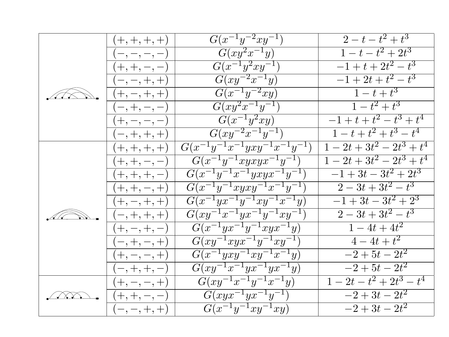|            | $(+,+,+,+)$    | $G(x^{-1}y^{-2}xy^{-1})$                          | $2-t-t^2+t^3$                   |
|------------|----------------|---------------------------------------------------|---------------------------------|
|            | $(-,-,-,-)$    | $G(xy^2x^{-1}y)$                                  | $1-t-t^2+2t^3$                  |
|            | $(+, +, -, -)$ | $G(x^{-1}y^2xy^{-1})$                             | $-1+t+2t^2-t^3$                 |
|            | $(-,-,+,+)$    | $G(xy^{-2}x^{-1}y)$                               | $-1+2t+t^2-t^3$                 |
|            | $(+, -, +, +)$ | $G(x^{-1}y^{-2}xy)$                               | $1-t+t^3$                       |
|            | $(-, +, -, -)$ | $G\overline{(xy^2x^{-1}y^{-1})}$                  | $1-t^2+t^3$                     |
|            | $(+,-,-,-)$    | $G(x^{-1}y^2xy)$                                  | $-\overline{1+t+t^2-t^3+t^4}$   |
|            | $(-,+,+,+)$    | $G\overline{(xy^{-2}x^{-1}y^{-1})}$               | $\overline{1-t+t^2+t^3-t^4}$    |
|            | $(+,+,+,+)$    | $G(x^{-1}y^{-1}x^{-1}yxy^{-1}x^{-1}y^{-1})$       | $1 - 2t + 3t^2 - 2t^3 + t^4$    |
|            | $(+, +, -, -)$ | $G(x^{-1}y^{-1}xyxyx^{-1}y^{-1})$                 | $\overline{1-2t+3t^2-2t^3+t^4}$ |
|            | $(+,+,+,-)$    | $\overline{G(x^{-1}y^{-1}x^{-1}yxyx^{-1}y^{-1})}$ | $-1+3t-3t^2+2t^3$               |
|            | $(+, +, -, +)$ | $G(x^{-1}y^{-1}xyxy^{-1}x^{-1}y^{-1})$            | $2-3t+3t^2-t^3$                 |
|            | $(+, -, +, +)$ | $G(x^{-1}yx^{-1}y^{-1}xy^{-1}x^{-1}y)$            | $-1+3t-3t^2+2^3$                |
|            | $(-,+,+,+)$    | $\overline{G(xy^{-1}x^{-1}yx^{-1}y^{-1}xy^{-1})}$ | $2-3t+3t^2-t^3$                 |
|            | $(+, -, +, -)$ | $G(x^{-1}yx^{-1}y^{-1}xyx^{-1}y)$                 | $1-4t+4t^2$                     |
|            | $(-, +, -, +)$ | $G(xy^{-1}xyx^{-1}y^{-1}xy^{-1})$                 | $4-4t+t^2$                      |
|            | $(+, -, -, +)$ | $G(x^{-1}yxy^{-1}xy^{-1}x^{-1}y)$                 | $-\overline{2+5t-2t^2}$         |
|            | $(-,+,+,-)$    | $G(xy^{-1}x^{-1}yx^{-1}yx^{-1}y)$                 | $-2+5t-2t^2$                    |
|            | $(+, -, -, +)$ | $G(xy^{-1}x^{-1}y^{-1}x^{-1}y)$                   | $\overline{1-2t-t^2+2t^3-t^4}$  |
| $\sqrt{N}$ | $(+, +, -, -)$ | $G(xyx^{-1}yx^{-1}y^{-1})$                        | $-2+3t-2t^2$                    |
|            | $(-,-,+,+)$    | $G(x^{-1}y^{-1}xy^{-1}xy)$                        | $-2+3t-2t^2$                    |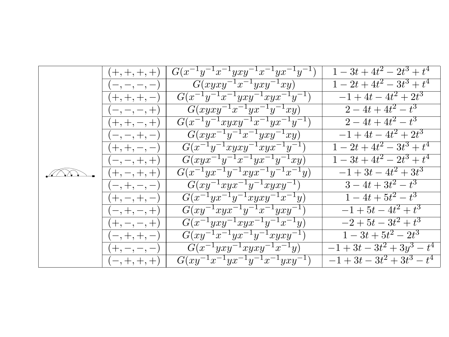|  | $(+,+,+,+)$    | $G(x^{-1}y^{-1}x^{-1}yxy^{-1}x^{-1}yx^{-1}y^{-1})$  | $1 - 3t + 4t^2 - 2t^3 + t^4$                                   |
|--|----------------|-----------------------------------------------------|----------------------------------------------------------------|
|  | $(-,-,-,-)$    | $G(xyxy^{-1}x^{-1}yxy^{-1}xy)$                      | $1 - 2t + 4t^2 - 3t^3 + t^4$                                   |
|  | $(+,+,+,-)$    | $G(x^{-1}y^{-1}x^{-1}yxy^{-1}xyx^{-1}y^{-1})$       | $-1+4t-4t^2+2t^3$                                              |
|  | $(-,-,-,+)$    | $G(xyxy^{-1}x^{-1}yx^{-1}y^{-1}xy)$                 | $\frac{2-4t+4t^2-t^3}{2}$                                      |
|  | $(+, +, -, +)$ | $G(x^{-1}y^{-1}xyxy^{-1}x^{-1}yx^{-1}y^{-1})$       | $2 - 4t + 4t^2 - t^3$                                          |
|  | $(-,-,+,-)$    | $G(xyx^{-1}y^{-1}x^{-1}yxy^{-1}xy)$                 | $-1 + 4t - 4t^2 + 2t^3$                                        |
|  | $(+, +, -, -)$ | $G(x^{-1}y^{-1}xyx\overline{y^{-1}}xyx^{-1}y^{-1})$ | $1 - 2t + 4t^2 - 3t^3 + t^4$                                   |
|  | $(-,-,+,+)$    | $G(xyx^{-1}y^{-1}x^{-1}yx^{-1}y^{-1}xy)$            | $1-3t+4t^2-2t^3+t^4$                                           |
|  | $(+, -, +, +)$ | $G(x^{-1}yx^{-1}y^{-1}xyx^{-1}y^{-1}x^{-1}y)$       | $-1+3t-4t^2+3t^3$                                              |
|  | $(-, +, -, -)$ | $G(xy^{-1}xyx^{-1}y^{-1}xyxy^{-1})$                 | $3-4t+3t^2-t^3$                                                |
|  | $(+, -, +, -)$ | $G(x^{-1}yx^{-1}y^{-1}xyxy^{-1}x^{-1}y)$            | $1-4t+5t^2-t^3$                                                |
|  | $(-, +, -, +)$ | $G(xy^{-1}xyx^{-1}y^{-1}x^{-1}yxy^{-1})$            | $-1+5t-4t^2+t^3$                                               |
|  | $(+,-,-,+)$    | $G(x^{-1}yxy^{-1}xyx^{-1}y^{-1}x^{-1}y)$            | $-2+5t-3t^2+t^3$                                               |
|  | $(-,+,+,-)$    | $G(xy^{-1}x^{-1}yx^{-1}y^{-1}xyxy^{-1})$            | $1-3t+5t^2-2t^3$                                               |
|  | $(+,-,-,-)$    | $G(x^{-1}yxy^{-1}xyxy^{-1}x^{-1}y)$                 | $-1+3t-3t^2+3y^3-t^4$                                          |
|  | $(-,+,+,+)$    | $G(xy^{-1}x^{-1}yx^{-1}y^{-1}x^{-1}yxy^{-1})$       | $-1$ + 3t - 3t <sup>2</sup> + 3t <sup>3</sup> - t <sup>4</sup> |